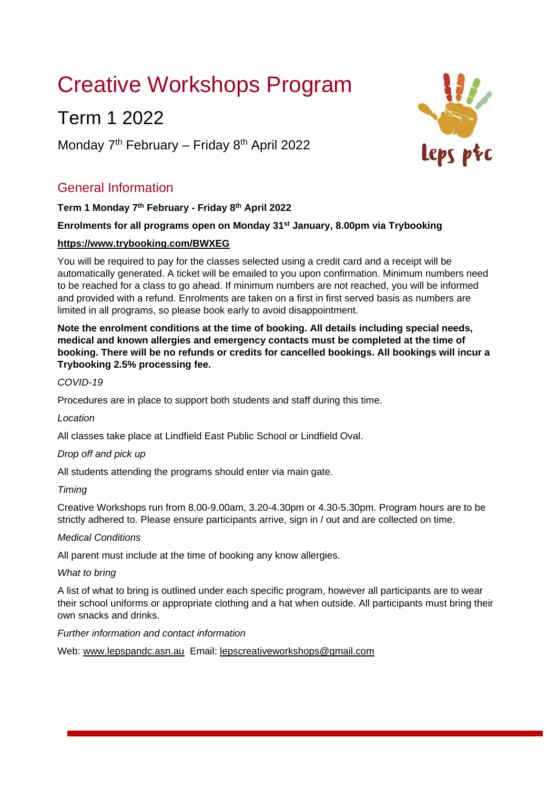# Creative Workshops Program

# Term 1 2022

Monday  $7<sup>th</sup>$  February – Friday  $8<sup>th</sup>$  April 2022

# General Information

## **Term 1 Monday 7th February - Friday 8 th April 2022**

## **Enrolments for all programs open on Monday 31st January, 8.00pm via Trybooking**

## **https://www.trybooking.com/BWXEG**

You will be required to pay for the classes selected using a credit card and a receipt will be automatically generated. A ticket will be emailed to you upon confirmation. Minimum numbers need to be reached for a class to go ahead. If minimum numbers are not reached, you will be informed and provided with a refund. Enrolments are taken on a first in first served basis as numbers are limited in all programs, so please book early to avoid disappointment.

**Note the enrolment conditions at the time of booking. All details including special needs, medical and known allergies and emergency contacts must be completed at the time of booking. There will be no refunds or credits for cancelled bookings. All bookings will incur a Trybooking 2.5% processing fee.** 

## *COVID-19*

Procedures are in place to support both students and staff during this time.

*Location* 

All classes take place at Lindfield East Public School or Lindfield Oval.

## *Drop off and pick up*

All students attending the programs should enter via main gate.

## *Timing*

Creative Workshops run from 8.00-9.00am, 3.20-4.30pm or 4.30-5.30pm. Program hours are to be strictly adhered to. Please ensure participants arrive, sign in / out and are collected on time.

## *Medical Conditions*

All parent must include at the time of booking any know allergies.

#### *What to bring*

A list of what to bring is outlined under each specific program, however all participants are to wear their school uniforms or appropriate clothing and a hat when outside. All participants must bring their own snacks and drinks.

#### *Further information and contact information*

Web: www.lepspandc.asn.au Email: lepscreativeworkshops@gmail.com

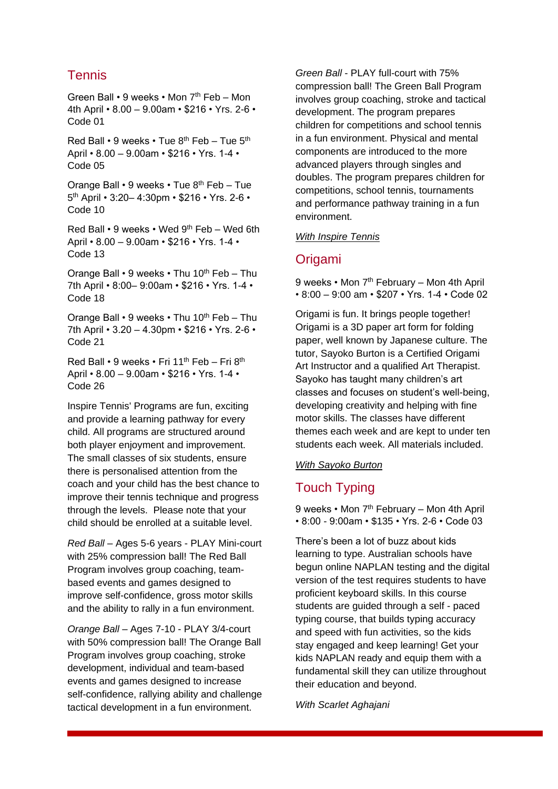# **Tennis**

Green Ball • 9 weeks • Mon 7<sup>th</sup> Feb – Mon 4th April • 8.00 – 9.00am • \$216 • Yrs. 2-6 • Code 01

Red Ball • 9 weeks • Tue  $8^{th}$  Feb – Tue  $5^{th}$ April • 8.00 – 9.00am • \$216 • Yrs. 1-4 • Code 05

Orange Ball • 9 weeks • Tue 8th Feb – Tue 5 th April • 3:20– 4:30pm • \$216 • Yrs. 2-6 • Code 10

Red Ball • 9 weeks • Wed 9th Feb – Wed 6th April • 8.00 – 9.00am • \$216 • Yrs. 1-4 • Code 13

Orange Ball  $\cdot$  9 weeks  $\cdot$  Thu 10<sup>th</sup> Feb – Thu 7th April • 8:00– 9:00am • \$216 • Yrs. 1-4 • Code 18

Orange Ball  $\cdot$  9 weeks  $\cdot$  Thu 10<sup>th</sup> Feb – Thu 7th April • 3.20 – 4.30pm • \$216 • Yrs. 2-6 • Code 21

Red Ball • 9 weeks • Fri 11th Feb – Fri 8th April • 8.00 – 9.00am • \$216 • Yrs. 1-4 • Code 26

Inspire Tennis' Programs are fun, exciting and provide a learning pathway for every child. All programs are structured around both player enjoyment and improvement. The small classes of six students, ensure there is personalised attention from the coach and your child has the best chance to improve their tennis technique and progress through the levels. Please note that your child should be enrolled at a suitable level.

*Red Ball* – Ages 5-6 years - PLAY Mini-court with 25% compression ball! The Red Ball Program involves group coaching, teambased events and games designed to improve self-confidence, gross motor skills and the ability to rally in a fun environment.

*Orange Ball* – Ages 7-10 - PLAY 3/4-court with 50% compression ball! The Orange Ball Program involves group coaching, stroke development, individual and team-based events and games designed to increase self-confidence, rallying ability and challenge tactical development in a fun environment.

*Green Ball* - PLAY full-court with 75% compression ball! The Green Ball Program involves group coaching, stroke and tactical development. The program prepares children for competitions and school tennis in a fun environment. Physical and mental components are introduced to the more advanced players through singles and doubles. The program prepares children for competitions, school tennis, tournaments and performance pathway training in a fun environment.

#### *With Inspire Tennis*

## Origami

9 weeks • Mon 7<sup>th</sup> February – Mon 4th April • 8:00 – 9:00 am • \$207 • Yrs. 1-4 • Code 02

Origami is fun. It brings people together! Origami is a 3D paper art form for folding paper, well known by Japanese culture. The tutor, Sayoko Burton is a Certified Origami Art Instructor and a qualified Art Therapist. Sayoko has taught many children's art classes and focuses on student's well-being, developing creativity and helping with fine motor skills. The classes have different themes each week and are kept to under ten students each week. All materials included.

#### *With Sayoko Burton*

# Touch Typing

9 weeks • Mon 7<sup>th</sup> February – Mon 4th April • 8:00 - 9:00am • \$135 • Yrs. 2-6 • Code 03

There's been a lot of buzz about kids learning to type. Australian schools have begun online NAPLAN testing and the digital version of the test requires students to have proficient keyboard skills. In this course students are guided through a self - paced typing course, that builds typing accuracy and speed with fun activities, so the kids stay engaged and keep learning! Get your kids NAPLAN ready and equip them with a fundamental skill they can utilize throughout their education and beyond.

*With Scarlet Aghajani*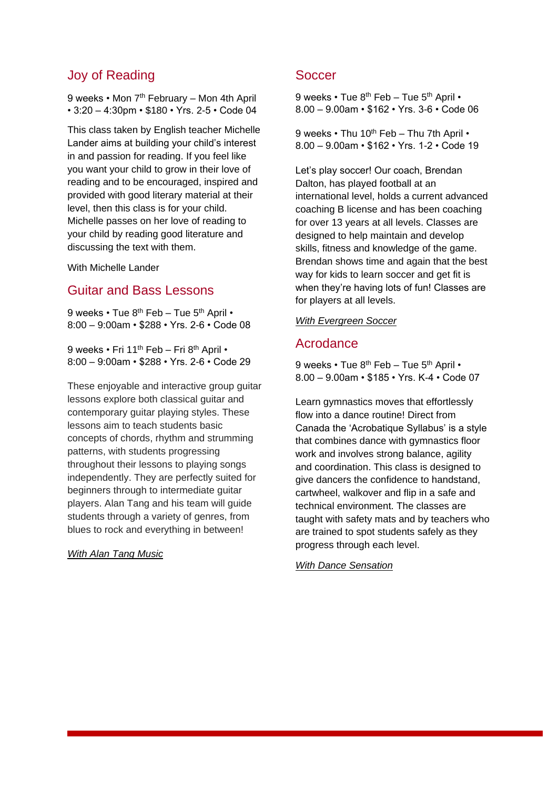# Joy of Reading

9 weeks • Mon 7<sup>th</sup> February – Mon 4th April • 3:20 – 4:30pm • \$180 • Yrs. 2-5 • Code 04

This class taken by English teacher Michelle Lander aims at building your child's interest in and passion for reading. If you feel like you want your child to grow in their love of reading and to be encouraged, inspired and provided with good literary material at their level, then this class is for your child. Michelle passes on her love of reading to your child by reading good literature and discussing the text with them.

With Michelle Lander

## Guitar and Bass Lessons

9 weeks • Tue 8<sup>th</sup> Feb – Tue 5<sup>th</sup> April • 8:00 – 9:00am • \$288 • Yrs. 2-6 • Code 08

9 weeks • Fri 11<sup>th</sup> Feb – Fri 8<sup>th</sup> April • 8:00 – 9:00am • \$288 • Yrs. 2-6 • Code 29

These enjoyable and interactive group guitar lessons explore both classical guitar and contemporary guitar playing styles. These lessons aim to teach students basic concepts of chords, rhythm and strumming patterns, with students progressing throughout their lessons to playing songs independently. They are perfectly suited for beginners through to intermediate guitar players. Alan Tang and his team will guide students through a variety of genres, from blues to rock and everything in between!

*With Alan Tang Music*

### **Soccer**

9 weeks  $\cdot$  Tue 8<sup>th</sup> Feb – Tue 5<sup>th</sup> April  $\cdot$ 8.00 – 9.00am • \$162 • Yrs. 3-6 • Code 06

9 weeks • Thu 10<sup>th</sup> Feb – Thu 7th April • 8.00 – 9.00am • \$162 • Yrs. 1-2 • Code 19

Let's play soccer! Our coach, Brendan Dalton, has played football at an international level, holds a current advanced coaching B license and has been coaching for over 13 years at all levels. Classes are designed to help maintain and develop skills, fitness and knowledge of the game. Brendan shows time and again that the best way for kids to learn soccer and get fit is when they're having lots of fun! Classes are for players at all levels.

#### *With Evergreen Soccer*

## Acrodance

9 weeks  $\cdot$  Tue 8<sup>th</sup> Feb – Tue 5<sup>th</sup> April  $\cdot$ 8.00 – 9.00am • \$185 • Yrs. K-4 • Code 07

Learn gymnastics moves that effortlessly flow into a dance routine! Direct from Canada the 'Acrobatique Syllabus' is a style that combines dance with gymnastics floor work and involves strong balance, agility and coordination. This class is designed to give dancers the confidence to handstand, cartwheel, walkover and flip in a safe and technical environment. The classes are taught with safety mats and by teachers who are trained to spot students safely as they progress through each level.

*With Dance Sensation*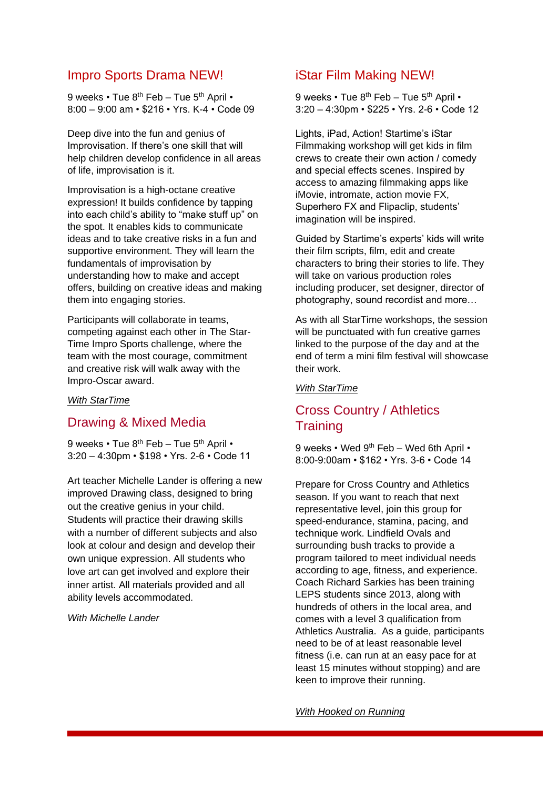# Impro Sports Drama NEW!

9 weeks • Tue 8<sup>th</sup> Feb – Tue 5<sup>th</sup> April • 8:00 – 9:00 am • \$216 • Yrs. K-4 • Code 09

Deep dive into the fun and genius of Improvisation. If there's one skill that will help children develop confidence in all areas of life, improvisation is it.

Improvisation is a high-octane creative expression! It builds confidence by tapping into each child's ability to "make stuff up" on the spot. It enables kids to communicate ideas and to take creative risks in a fun and supportive environment. They will learn the fundamentals of improvisation by understanding how to make and accept offers, building on creative ideas and making them into engaging stories.

Participants will collaborate in teams, competing against each other in The Star-Time Impro Sports challenge, where the team with the most courage, commitment and creative risk will walk away with the Impro-Oscar award.

#### *With StarTime*

## Drawing & Mixed Media

9 weeks • Tue 8<sup>th</sup> Feb – Tue 5<sup>th</sup> April • 3:20 – 4:30pm • \$198 • Yrs. 2-6 • Code 11

Art teacher Michelle Lander is offering a new improved Drawing class, designed to bring out the creative genius in your child. Students will practice their drawing skills with a number of different subjects and also look at colour and design and develop their own unique expression. All students who love art can get involved and explore their inner artist. All materials provided and all ability levels accommodated.

*With Michelle Lander* 

## iStar Film Making NEW!

9 weeks • Tue 8<sup>th</sup> Feb – Tue 5<sup>th</sup> April • 3:20 – 4:30pm • \$225 • Yrs. 2-6 • Code 12

Lights, iPad, Action! Startime's iStar Filmmaking workshop will get kids in film crews to create their own action / comedy and special effects scenes. Inspired by access to amazing filmmaking apps like iMovie, intromate, action movie FX, Superhero FX and Flipaclip, students' imagination will be inspired.

Guided by Startime's experts' kids will write their film scripts, film, edit and create characters to bring their stories to life. They will take on various production roles including producer, set designer, director of photography, sound recordist and more…

As with all StarTime workshops, the session will be punctuated with fun creative games linked to the purpose of the day and at the end of term a mini film festival will showcase their work.

#### *With StarTime*

# Cross Country / Athletics **Training**

9 weeks • Wed 9<sup>th</sup> Feb – Wed 6th April • 8:00-9:00am • \$162 • Yrs. 3-6 • Code 14

Prepare for Cross Country and Athletics season. If you want to reach that next representative level, join this group for speed-endurance, stamina, pacing, and technique work. Lindfield Ovals and surrounding bush tracks to provide a program tailored to meet individual needs according to age, fitness, and experience. Coach Richard Sarkies has been training LEPS students since 2013, along with hundreds of others in the local area, and comes with a level 3 qualification from Athletics Australia. As a guide, participants need to be of at least reasonable level fitness (i.e. can run at an easy pace for at least 15 minutes without stopping) and are keen to improve their running.

*With Hooked on Running*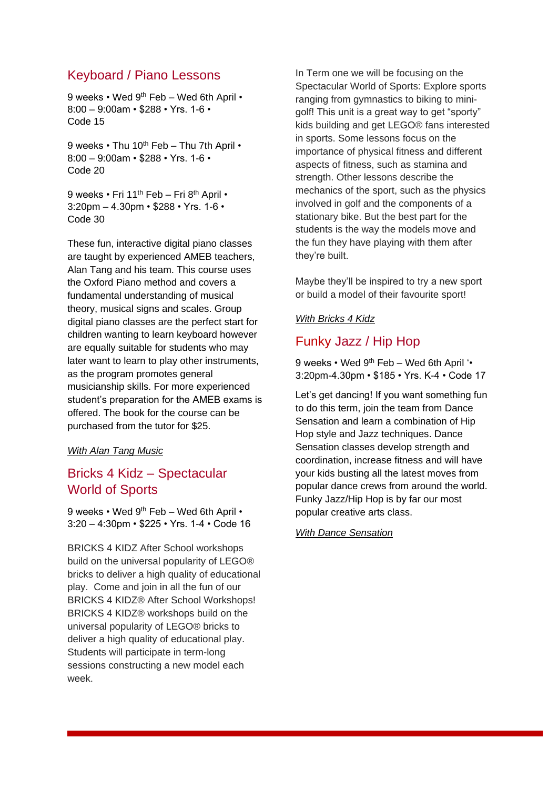# Keyboard / Piano Lessons

9 weeks • Wed 9th Feb – Wed 6th April • 8:00 – 9:00am • \$288 • Yrs. 1-6 • Code 15

9 weeks  $\cdot$  Thu 10<sup>th</sup> Feb – Thu 7th April  $\cdot$ 8:00 – 9:00am • \$288 • Yrs. 1-6 • Code 20

9 weeks • Fri 11<sup>th</sup> Feb – Fri 8<sup>th</sup> April • 3:20pm – 4.30pm • \$288 • Yrs. 1-6 • Code 30

These fun, interactive digital piano classes are taught by experienced AMEB teachers, Alan Tang and his team. This course uses the Oxford Piano method and covers a fundamental understanding of musical theory, musical signs and scales. Group digital piano classes are the perfect start for children wanting to learn keyboard however are equally suitable for students who may later want to learn to play other instruments, as the program promotes general musicianship skills. For more experienced student's preparation for the AMEB exams is offered. The book for the course can be purchased from the tutor for \$25.

#### *With Alan Tang Music*

# Bricks 4 Kidz – Spectacular World of Sports

9 weeks • Wed 9<sup>th</sup> Feb – Wed 6th April • 3:20 – 4:30pm • \$225 • Yrs. 1-4 • Code 16

BRICKS 4 KIDZ After School workshops build on the universal popularity of LEGO® bricks to deliver a high quality of educational play. Come and join in all the fun of our BRICKS 4 KIDZ® After School Workshops! BRICKS 4 KIDZ® workshops build on the universal popularity of LEGO® bricks to deliver a high quality of educational play. Students will participate in term-long sessions constructing a new model each week.

In Term one we will be focusing on the Spectacular World of Sports: Explore sports ranging from gymnastics to biking to minigolf! This unit is a great way to get "sporty" kids building and get LEGO® fans interested in sports. Some lessons focus on the importance of physical fitness and different aspects of fitness, such as stamina and strength. Other lessons describe the mechanics of the sport, such as the physics involved in golf and the components of a stationary bike. But the best part for the students is the way the models move and the fun they have playing with them after they're built.

Maybe they'll be inspired to try a new sport or build a model of their favourite sport!

#### *With Bricks 4 Kidz*

## Funky Jazz / Hip Hop

9 weeks • Wed 9<sup>th</sup> Feb – Wed 6th April '• 3:20pm-4.30pm • \$185 • Yrs. K-4 • Code 17

Let's get dancing! If you want something fun to do this term, join the team from Dance Sensation and learn a combination of Hip Hop style and Jazz techniques. Dance Sensation classes develop strength and coordination, increase fitness and will have your kids busting all the latest moves from popular dance crews from around the world. Funky Jazz/Hip Hop is by far our most popular creative arts class.

#### *With Dance Sensation*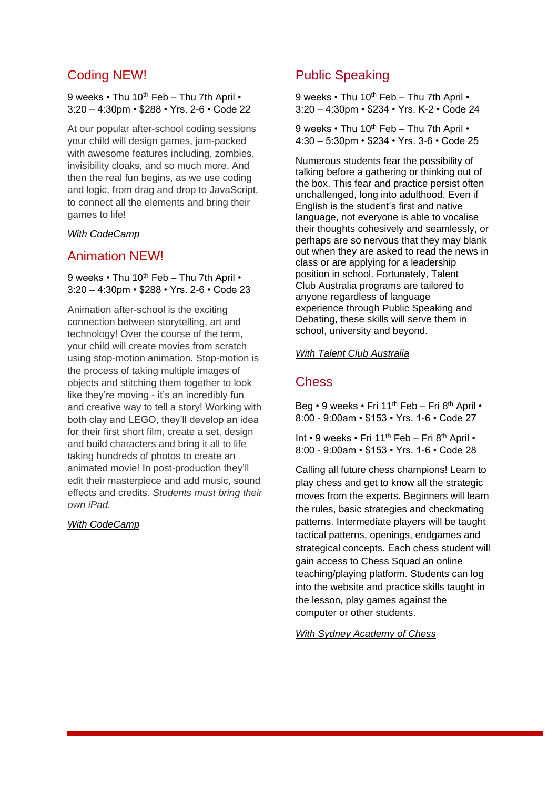# Coding NEW!

#### 9 weeks • Thu 10<sup>th</sup> Feb – Thu 7th April • 3:20 – 4:30pm • \$288 • Yrs. 2-6 • Code 22

At our popular after-school coding sessions your child will design games, jam-packed with awesome features including, zombies, invisibility cloaks, and so much more. And then the real fun begins, as we use coding and logic, from drag and drop to JavaScript, to connect all the elements and bring their games to life!

#### *With CodeCamp*

## Animation NEW!

#### 9 weeks • Thu 10<sup>th</sup> Feb – Thu 7th April • 3:20 – 4:30pm • \$288 • Yrs. 2-6 • Code 23

Animation after-school is the exciting connection between storytelling, art and technology! Over the course of the term, your child will create movies from scratch using stop-motion animation. Stop-motion is the process of taking multiple images of objects and stitching them together to look like they're moving - it's an incredibly fun and creative way to tell a story! Working with both clay and LEGO, they'll develop an idea for their first short film, create a set, design and build characters and bring it all to life taking hundreds of photos to create an animated movie! In post-production they'll edit their masterpiece and add music, sound effects and credits. *Students must bring their own iPad.* 

#### *With CodeCamp*

# Public Speaking

9 weeks  $\cdot$  Thu 10<sup>th</sup> Feb – Thu 7th April  $\cdot$ 3:20 – 4:30pm • \$234 • Yrs. K-2 • Code 24

9 weeks  $\cdot$  Thu 10<sup>th</sup> Feb – Thu 7th April  $\cdot$ 4:30 – 5:30pm • \$234 • Yrs. 3-6 • Code 25

Numerous students fear the possibility of talking before a gathering or thinking out of the box. This fear and practice persist often unchallenged, long into adulthood. Even if English is the student's first and native language, not everyone is able to vocalise their thoughts cohesively and seamlessly, or perhaps are so nervous that they may blank out when they are asked to read the news in class or are applying for a leadership position in school. Fortunately, Talent Club Australia programs are tailored to anyone regardless of language experience through Public Speaking and Debating, these skills will serve them in school, university and beyond.

#### *With Talent Club Australia*

## **Chess**

Beg • 9 weeks • Fri 11<sup>th</sup> Feb – Fri 8<sup>th</sup> April • 8:00 - 9:00am • \$153 • Yrs. 1-6 • Code 27

Int • 9 weeks • Fri 11<sup>th</sup> Feb – Fri 8<sup>th</sup> April • 8:00 - 9:00am • \$153 • Yrs. 1-6 • Code 28

Calling all future chess champions! Learn to play chess and get to know all the strategic moves from the experts. Beginners will learn the rules, basic strategies and checkmating patterns. Intermediate players will be taught tactical patterns, openings, endgames and strategical concepts. Each chess student will gain access to Chess Squad an online teaching/playing platform. Students can log into the website and practice skills taught in the lesson, play games against the computer or other students.

#### *With Sydney Academy of Chess*